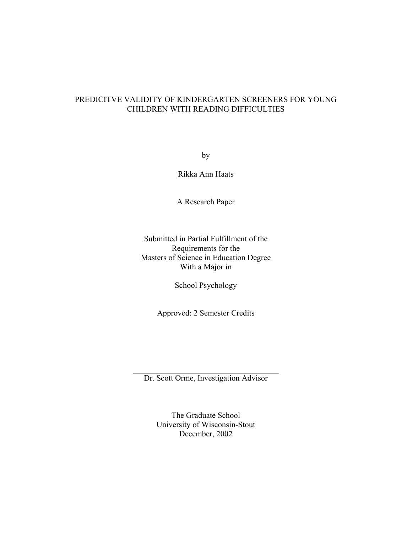# PREDICITVE VALIDITY OF KINDERGARTEN SCREENERS FOR YOUNG CHILDREN WITH READING DIFFICULTIES

by

Rikka Ann Haats

A Research Paper

Submitted in Partial Fulfillment of the Requirements for the Masters of Science in Education Degree With a Major in

School Psychology

Approved: 2 Semester Credits

Dr. Scott Orme, Investigation Advisor

The Graduate School University of Wisconsin-Stout December, 2002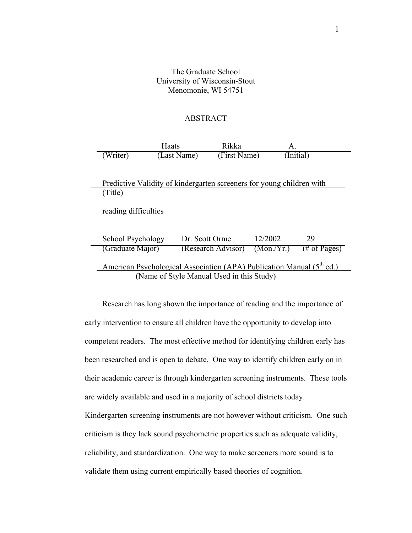## The Graduate School University of Wisconsin-Stout Menomonie, WI 54751

### ABSTRACT

|                                                                                   | Haats       | Rikka              | А.         |                 |  |
|-----------------------------------------------------------------------------------|-------------|--------------------|------------|-----------------|--|
| (Writer)                                                                          | (Last Name) | (First Name)       |            | (Initial)       |  |
|                                                                                   |             |                    |            |                 |  |
| Predictive Validity of kindergarten screeners for young children with             |             |                    |            |                 |  |
| (Title)                                                                           |             |                    |            |                 |  |
| reading difficulties                                                              |             |                    |            |                 |  |
| School Psychology                                                                 |             | Dr. Scott Orme     | 12/2002    | 29              |  |
| (Graduate Major)                                                                  |             | (Research Advisor) | (Mon./Yr.) | $(\#$ of Pages) |  |
| American Psychological Association (APA) Publication Manual (5 <sup>th</sup> ed.) |             |                    |            |                 |  |
| (Name of Style Manual Used in this Study)                                         |             |                    |            |                 |  |

Research has long shown the importance of reading and the importance of early intervention to ensure all children have the opportunity to develop into competent readers. The most effective method for identifying children early has been researched and is open to debate. One way to identify children early on in their academic career is through kindergarten screening instruments. These tools are widely available and used in a majority of school districts today. Kindergarten screening instruments are not however without criticism. One such criticism is they lack sound psychometric properties such as adequate validity,

reliability, and standardization. One way to make screeners more sound is to

validate them using current empirically based theories of cognition.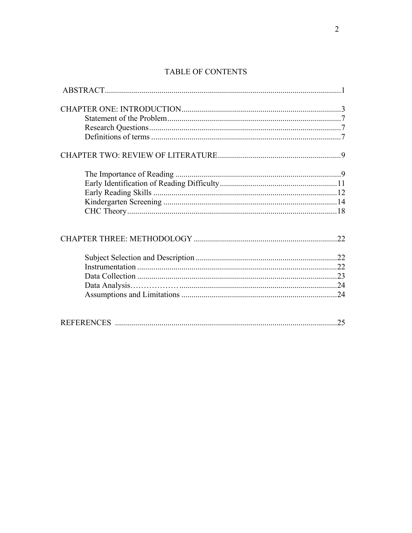# TABLE OF CONTENTS

| 25 |
|----|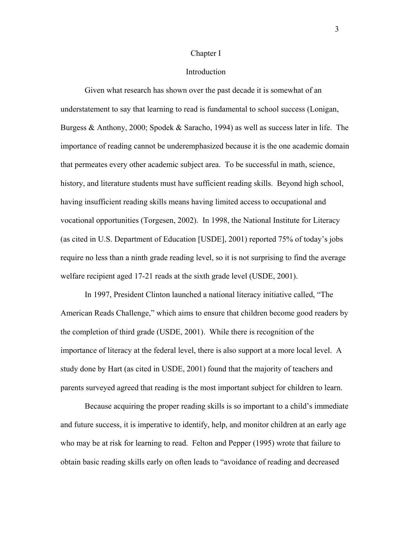#### Chapter I

### Introduction

Given what research has shown over the past decade it is somewhat of an understatement to say that learning to read is fundamental to school success (Lonigan, Burgess & Anthony, 2000; Spodek & Saracho, 1994) as well as success later in life. The importance of reading cannot be underemphasized because it is the one academic domain that permeates every other academic subject area. To be successful in math, science, history, and literature students must have sufficient reading skills. Beyond high school, having insufficient reading skills means having limited access to occupational and vocational opportunities (Torgesen, 2002). In 1998, the National Institute for Literacy (as cited in U.S. Department of Education [USDE], 2001) reported 75% of today's jobs require no less than a ninth grade reading level, so it is not surprising to find the average welfare recipient aged 17-21 reads at the sixth grade level (USDE, 2001).

In 1997, President Clinton launched a national literacy initiative called, "The American Reads Challenge," which aims to ensure that children become good readers by the completion of third grade (USDE, 2001). While there is recognition of the importance of literacy at the federal level, there is also support at a more local level. A study done by Hart (as cited in USDE, 2001) found that the majority of teachers and parents surveyed agreed that reading is the most important subject for children to learn.

 Because acquiring the proper reading skills is so important to a child's immediate and future success, it is imperative to identify, help, and monitor children at an early age who may be at risk for learning to read. Felton and Pepper (1995) wrote that failure to obtain basic reading skills early on often leads to "avoidance of reading and decreased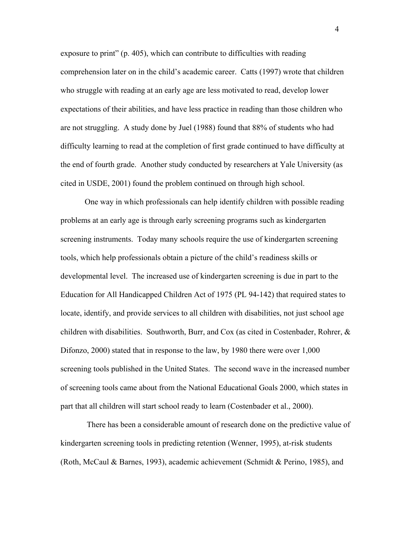exposure to print" (p. 405), which can contribute to difficulties with reading comprehension later on in the child's academic career. Catts (1997) wrote that children who struggle with reading at an early age are less motivated to read, develop lower expectations of their abilities, and have less practice in reading than those children who are not struggling. A study done by Juel (1988) found that 88% of students who had difficulty learning to read at the completion of first grade continued to have difficulty at the end of fourth grade. Another study conducted by researchers at Yale University (as cited in USDE, 2001) found the problem continued on through high school.

 One way in which professionals can help identify children with possible reading problems at an early age is through early screening programs such as kindergarten screening instruments. Today many schools require the use of kindergarten screening tools, which help professionals obtain a picture of the child's readiness skills or developmental level. The increased use of kindergarten screening is due in part to the Education for All Handicapped Children Act of 1975 (PL 94-142) that required states to locate, identify, and provide services to all children with disabilities, not just school age children with disabilities. Southworth, Burr, and Cox (as cited in Costenbader, Rohrer,  $\&$ Difonzo, 2000) stated that in response to the law, by 1980 there were over 1,000 screening tools published in the United States. The second wave in the increased number of screening tools came about from the National Educational Goals 2000, which states in part that all children will start school ready to learn (Costenbader et al., 2000).

 There has been a considerable amount of research done on the predictive value of kindergarten screening tools in predicting retention (Wenner, 1995), at-risk students (Roth, McCaul & Barnes, 1993), academic achievement (Schmidt & Perino, 1985), and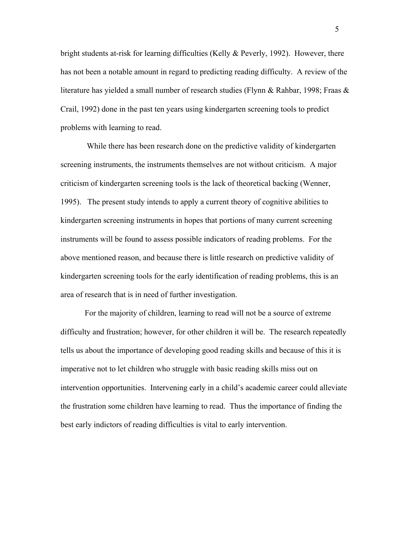bright students at-risk for learning difficulties (Kelly & Peverly, 1992). However, there has not been a notable amount in regard to predicting reading difficulty. A review of the literature has yielded a small number of research studies (Flynn & Rahbar, 1998; Fraas & Crail, 1992) done in the past ten years using kindergarten screening tools to predict problems with learning to read.

 While there has been research done on the predictive validity of kindergarten screening instruments, the instruments themselves are not without criticism. A major criticism of kindergarten screening tools is the lack of theoretical backing (Wenner, 1995). The present study intends to apply a current theory of cognitive abilities to kindergarten screening instruments in hopes that portions of many current screening instruments will be found to assess possible indicators of reading problems. For the above mentioned reason, and because there is little research on predictive validity of kindergarten screening tools for the early identification of reading problems, this is an area of research that is in need of further investigation.

 For the majority of children, learning to read will not be a source of extreme difficulty and frustration; however, for other children it will be. The research repeatedly tells us about the importance of developing good reading skills and because of this it is imperative not to let children who struggle with basic reading skills miss out on intervention opportunities. Intervening early in a child's academic career could alleviate the frustration some children have learning to read. Thus the importance of finding the best early indictors of reading difficulties is vital to early intervention.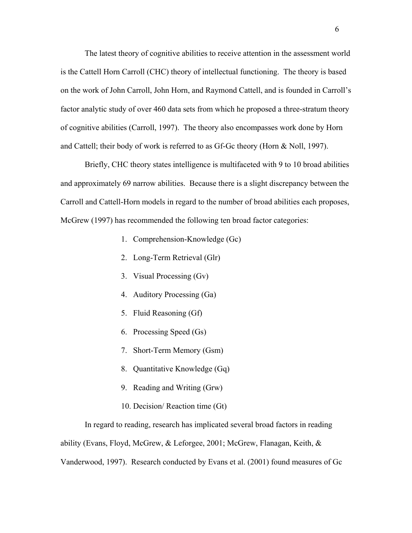The latest theory of cognitive abilities to receive attention in the assessment world is the Cattell Horn Carroll (CHC) theory of intellectual functioning. The theory is based on the work of John Carroll, John Horn, and Raymond Cattell, and is founded in Carroll's factor analytic study of over 460 data sets from which he proposed a three-stratum theory of cognitive abilities (Carroll, 1997). The theory also encompasses work done by Horn and Cattell; their body of work is referred to as Gf-Gc theory (Horn & Noll, 1997).

 Briefly, CHC theory states intelligence is multifaceted with 9 to 10 broad abilities and approximately 69 narrow abilities. Because there is a slight discrepancy between the Carroll and Cattell-Horn models in regard to the number of broad abilities each proposes, McGrew (1997) has recommended the following ten broad factor categories:

- 1. Comprehension-Knowledge (Gc)
- 2. Long-Term Retrieval (Glr)
- 3. Visual Processing (Gv)
- 4. Auditory Processing (Ga)
- 5. Fluid Reasoning (Gf)
- 6. Processing Speed (Gs)
- 7. Short-Term Memory (Gsm)
- 8. Quantitative Knowledge (Gq)
- 9. Reading and Writing (Grw)
- 10. Decision/ Reaction time (Gt)

 In regard to reading, research has implicated several broad factors in reading ability (Evans, Floyd, McGrew, & Leforgee, 2001; McGrew, Flanagan, Keith, & Vanderwood, 1997). Research conducted by Evans et al. (2001) found measures of Gc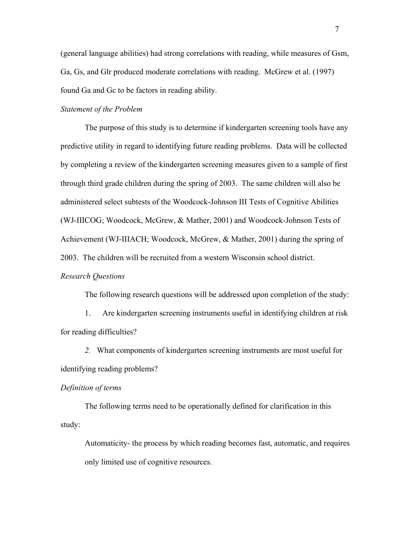(general language abilities) had strong correlations with reading, while measures of Gsm, Ga, Gs, and Glr produced moderate correlations with reading. McGrew et al. (1997) found Ga and Gc to be factors in reading ability.

### *Statement of the Problem*

 The purpose of this study is to determine if kindergarten screening tools have any predictive utility in regard to identifying future reading problems. Data will be collected by completing a review of the kindergarten screening measures given to a sample of first through third grade children during the spring of 2003. The same children will also be administered select subtests of the Woodcock-Johnson III Tests of Cognitive Abilities (WJ-IIICOG; Woodcock, McGrew, & Mather, 2001) and Woodcock-Johnson Tests of Achievement (WJ-IIIACH; Woodcock, McGrew, & Mather, 2001) during the spring of 2003. The children will be recruited from a western Wisconsin school district.

## *Research Questions*

The following research questions will be addressed upon completion of the study:

1. Are kindergarten screening instruments useful in identifying children at risk for reading difficulties?

*2.* What components of kindergarten screening instruments are most useful for identifying reading problems?

#### *Definition of terms*

 The following terms need to be operationally defined for clarification in this study:

Automaticity- the process by which reading becomes fast, automatic, and requires only limited use of cognitive resources.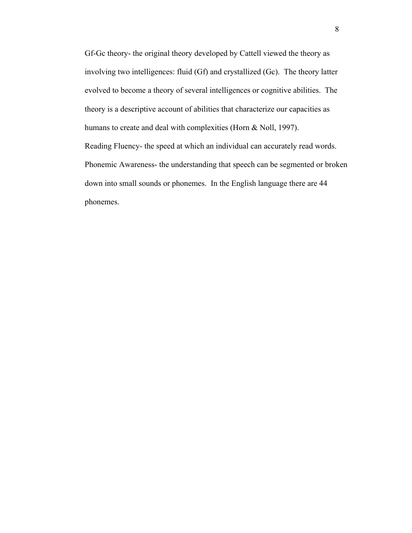Gf-Gc theory- the original theory developed by Cattell viewed the theory as involving two intelligences: fluid (Gf) and crystallized (Gc). The theory latter evolved to become a theory of several intelligences or cognitive abilities. The theory is a descriptive account of abilities that characterize our capacities as humans to create and deal with complexities (Horn & Noll, 1997). Reading Fluency- the speed at which an individual can accurately read words. Phonemic Awareness- the understanding that speech can be segmented or broken down into small sounds or phonemes. In the English language there are 44 phonemes.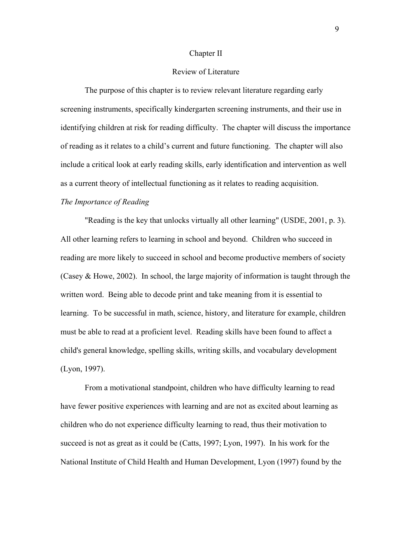### Chapter II

### Review of Literature

 The purpose of this chapter is to review relevant literature regarding early screening instruments, specifically kindergarten screening instruments, and their use in identifying children at risk for reading difficulty. The chapter will discuss the importance of reading as it relates to a child's current and future functioning. The chapter will also include a critical look at early reading skills, early identification and intervention as well as a current theory of intellectual functioning as it relates to reading acquisition.

## *The Importance of Reading*

 "Reading is the key that unlocks virtually all other learning" (USDE, 2001, p. 3). All other learning refers to learning in school and beyond. Children who succeed in reading are more likely to succeed in school and become productive members of society (Casey & Howe, 2002). In school, the large majority of information is taught through the written word. Being able to decode print and take meaning from it is essential to learning. To be successful in math, science, history, and literature for example, children must be able to read at a proficient level. Reading skills have been found to affect a child's general knowledge, spelling skills, writing skills, and vocabulary development (Lyon, 1997).

 From a motivational standpoint, children who have difficulty learning to read have fewer positive experiences with learning and are not as excited about learning as children who do not experience difficulty learning to read, thus their motivation to succeed is not as great as it could be (Catts, 1997; Lyon, 1997). In his work for the National Institute of Child Health and Human Development, Lyon (1997) found by the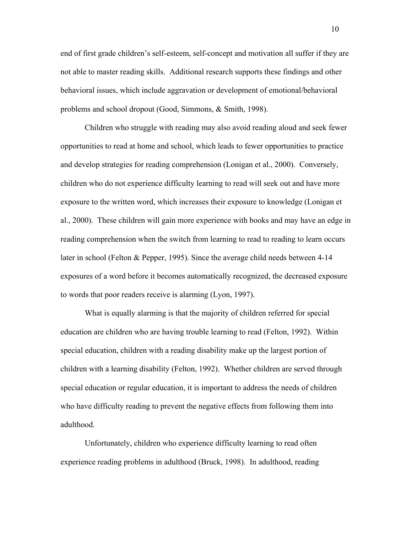end of first grade children's self-esteem, self-concept and motivation all suffer if they are not able to master reading skills. Additional research supports these findings and other behavioral issues, which include aggravation or development of emotional/behavioral problems and school dropout (Good, Simmons, & Smith, 1998).

 Children who struggle with reading may also avoid reading aloud and seek fewer opportunities to read at home and school, which leads to fewer opportunities to practice and develop strategies for reading comprehension (Lonigan et al., 2000). Conversely, children who do not experience difficulty learning to read will seek out and have more exposure to the written word, which increases their exposure to knowledge (Lonigan et al., 2000). These children will gain more experience with books and may have an edge in reading comprehension when the switch from learning to read to reading to learn occurs later in school (Felton & Pepper, 1995). Since the average child needs between 4-14 exposures of a word before it becomes automatically recognized, the decreased exposure to words that poor readers receive is alarming (Lyon, 1997).

 What is equally alarming is that the majority of children referred for special education are children who are having trouble learning to read (Felton, 1992). Within special education, children with a reading disability make up the largest portion of children with a learning disability (Felton, 1992). Whether children are served through special education or regular education, it is important to address the needs of children who have difficulty reading to prevent the negative effects from following them into adulthood.

 Unfortunately, children who experience difficulty learning to read often experience reading problems in adulthood (Bruck, 1998). In adulthood, reading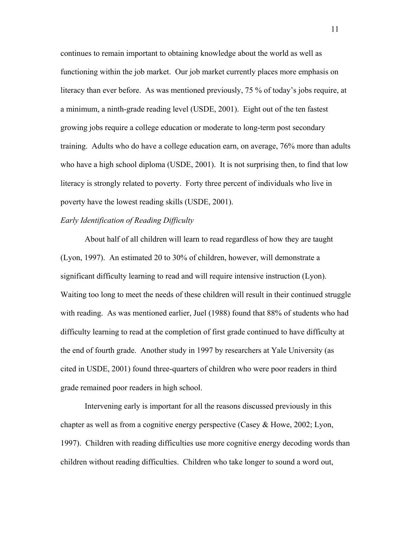continues to remain important to obtaining knowledge about the world as well as functioning within the job market. Our job market currently places more emphasis on literacy than ever before. As was mentioned previously, 75 % of today's jobs require, at a minimum, a ninth-grade reading level (USDE, 2001). Eight out of the ten fastest growing jobs require a college education or moderate to long-term post secondary training. Adults who do have a college education earn, on average, 76% more than adults who have a high school diploma (USDE, 2001). It is not surprising then, to find that low literacy is strongly related to poverty. Forty three percent of individuals who live in poverty have the lowest reading skills (USDE, 2001).

### *Early Identification of Reading Difficulty*

 About half of all children will learn to read regardless of how they are taught (Lyon, 1997). An estimated 20 to 30% of children, however, will demonstrate a significant difficulty learning to read and will require intensive instruction (Lyon). Waiting too long to meet the needs of these children will result in their continued struggle with reading. As was mentioned earlier, Juel (1988) found that 88% of students who had difficulty learning to read at the completion of first grade continued to have difficulty at the end of fourth grade. Another study in 1997 by researchers at Yale University (as cited in USDE, 2001) found three-quarters of children who were poor readers in third grade remained poor readers in high school.

 Intervening early is important for all the reasons discussed previously in this chapter as well as from a cognitive energy perspective (Casey & Howe, 2002; Lyon, 1997). Children with reading difficulties use more cognitive energy decoding words than children without reading difficulties. Children who take longer to sound a word out,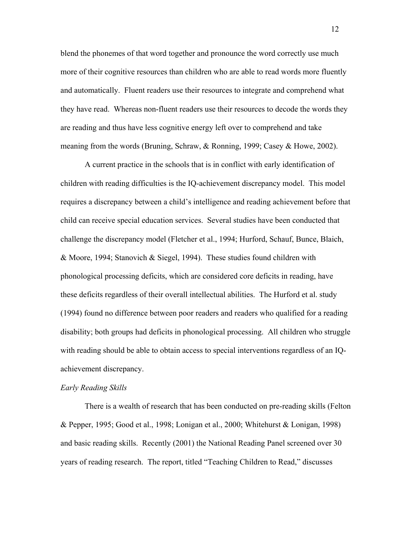blend the phonemes of that word together and pronounce the word correctly use much more of their cognitive resources than children who are able to read words more fluently and automatically. Fluent readers use their resources to integrate and comprehend what they have read. Whereas non-fluent readers use their resources to decode the words they are reading and thus have less cognitive energy left over to comprehend and take meaning from the words (Bruning, Schraw, & Ronning, 1999; Casey & Howe, 2002).

 A current practice in the schools that is in conflict with early identification of children with reading difficulties is the IQ-achievement discrepancy model. This model requires a discrepancy between a child's intelligence and reading achievement before that child can receive special education services. Several studies have been conducted that challenge the discrepancy model (Fletcher et al., 1994; Hurford, Schauf, Bunce, Blaich, & Moore, 1994; Stanovich & Siegel, 1994). These studies found children with phonological processing deficits, which are considered core deficits in reading, have these deficits regardless of their overall intellectual abilities. The Hurford et al. study (1994) found no difference between poor readers and readers who qualified for a reading disability; both groups had deficits in phonological processing. All children who struggle with reading should be able to obtain access to special interventions regardless of an IQachievement discrepancy.

# *Early Reading Skills*

 There is a wealth of research that has been conducted on pre-reading skills (Felton & Pepper, 1995; Good et al., 1998; Lonigan et al., 2000; Whitehurst & Lonigan, 1998) and basic reading skills. Recently (2001) the National Reading Panel screened over 30 years of reading research. The report, titled "Teaching Children to Read," discusses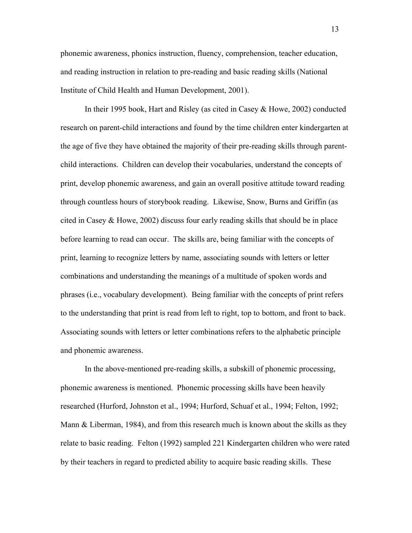phonemic awareness, phonics instruction, fluency, comprehension, teacher education, and reading instruction in relation to pre-reading and basic reading skills (National Institute of Child Health and Human Development, 2001).

 In their 1995 book, Hart and Risley (as cited in Casey & Howe, 2002) conducted research on parent-child interactions and found by the time children enter kindergarten at the age of five they have obtained the majority of their pre-reading skills through parentchild interactions. Children can develop their vocabularies, understand the concepts of print, develop phonemic awareness, and gain an overall positive attitude toward reading through countless hours of storybook reading. Likewise, Snow, Burns and Griffin (as cited in Casey & Howe, 2002) discuss four early reading skills that should be in place before learning to read can occur. The skills are, being familiar with the concepts of print, learning to recognize letters by name, associating sounds with letters or letter combinations and understanding the meanings of a multitude of spoken words and phrases (i.e., vocabulary development). Being familiar with the concepts of print refers to the understanding that print is read from left to right, top to bottom, and front to back. Associating sounds with letters or letter combinations refers to the alphabetic principle and phonemic awareness.

 In the above-mentioned pre-reading skills, a subskill of phonemic processing, phonemic awareness is mentioned. Phonemic processing skills have been heavily researched (Hurford, Johnston et al., 1994; Hurford, Schuaf et al., 1994; Felton, 1992; Mann & Liberman, 1984), and from this research much is known about the skills as they relate to basic reading. Felton (1992) sampled 221 Kindergarten children who were rated by their teachers in regard to predicted ability to acquire basic reading skills. These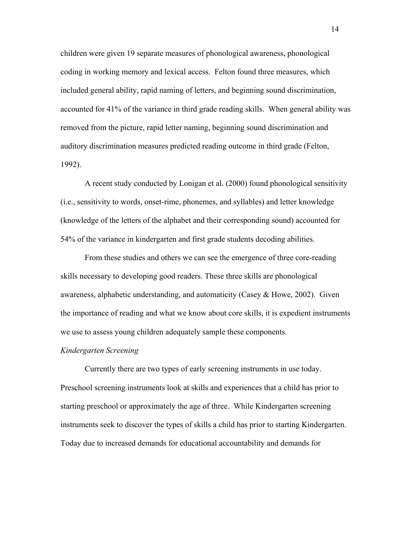children were given 19 separate measures of phonological awareness, phonological coding in working memory and lexical access. Felton found three measures, which included general ability, rapid naming of letters, and beginning sound discrimination, accounted for 41% of the variance in third grade reading skills. When general ability was removed from the picture, rapid letter naming, beginning sound discrimination and auditory discrimination measures predicted reading outcome in third grade (Felton, 1992).

 A recent study conducted by Lonigan et al. (2000) found phonological sensitivity (i.e., sensitivity to words, onset-rime, phonemes, and syllables) and letter knowledge (knowledge of the letters of the alphabet and their corresponding sound) accounted for 54% of the variance in kindergarten and first grade students decoding abilities.

 From these studies and others we can see the emergence of three core-reading skills necessary to developing good readers. These three skills are phonological awareness, alphabetic understanding, and automaticity (Casey & Howe, 2002). Given the importance of reading and what we know about core skills, it is expedient instruments we use to assess young children adequately sample these components.

### *Kindergarten Screening*

 Currently there are two types of early screening instruments in use today. Preschool screening instruments look at skills and experiences that a child has prior to starting preschool or approximately the age of three.While Kindergarten screening instruments seek to discover the types of skills a child has prior to starting Kindergarten. Today due to increased demands for educational accountability and demands for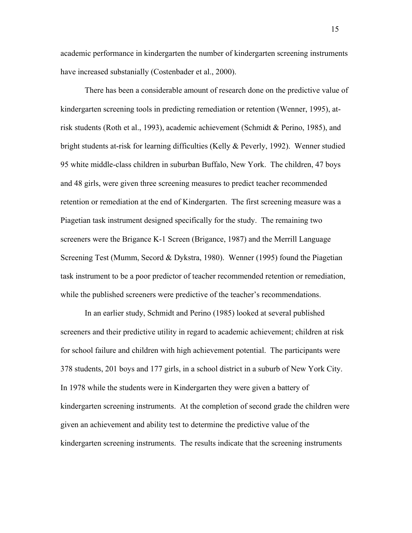academic performance in kindergarten the number of kindergarten screening instruments have increased substanially (Costenbader et al., 2000).

There has been a considerable amount of research done on the predictive value of kindergarten screening tools in predicting remediation or retention (Wenner, 1995), atrisk students (Roth et al., 1993), academic achievement (Schmidt & Perino, 1985), and bright students at-risk for learning difficulties (Kelly & Peverly, 1992). Wenner studied 95 white middle-class children in suburban Buffalo, New York. The children, 47 boys and 48 girls, were given three screening measures to predict teacher recommended retention or remediation at the end of Kindergarten. The first screening measure was a Piagetian task instrument designed specifically for the study. The remaining two screeners were the Brigance K-1 Screen (Brigance, 1987) and the Merrill Language Screening Test (Mumm, Secord & Dykstra, 1980). Wenner (1995) found the Piagetian task instrument to be a poor predictor of teacher recommended retention or remediation, while the published screeners were predictive of the teacher's recommendations.

 In an earlier study, Schmidt and Perino (1985) looked at several published screeners and their predictive utility in regard to academic achievement; children at risk for school failure and children with high achievement potential. The participants were 378 students, 201 boys and 177 girls, in a school district in a suburb of New York City. In 1978 while the students were in Kindergarten they were given a battery of kindergarten screening instruments. At the completion of second grade the children were given an achievement and ability test to determine the predictive value of the kindergarten screening instruments. The results indicate that the screening instruments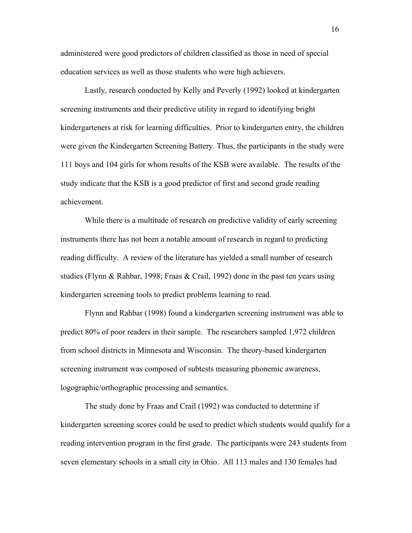administered were good predictors of children classified as those in need of special education services as well as those students who were high achievers.

 Lastly, research conducted by Kelly and Peverly (1992) looked at kindergarten screening instruments and their predictive utility in regard to identifying bright kindergarteners at risk for learning difficulties. Prior to kindergarten entry, the children were given the Kindergarten Screening Battery. Thus, the participants in the study were 111 boys and 104 girls for whom results of the KSB were available. The results of the study indicate that the KSB is a good predictor of first and second grade reading achievement.

 While there is a multitude of research on predictive validity of early screening instruments there has not been a notable amount of research in regard to predicting reading difficulty. A review of the literature has yielded a small number of research studies (Flynn & Rahbar, 1998; Fraas & Crail, 1992) done in the past ten years using kindergarten screening tools to predict problems learning to read.

 Flynn and Rahbar (1998) found a kindergarten screening instrument was able to predict 80% of poor readers in their sample. The researchers sampled 1,972 children from school districts in Minnesota and Wisconsin. The theory-based kindergarten screening instrument was composed of subtests measuring phonemic awareness, logographic/orthographic processing and semantics.

 The study done by Fraas and Crail (1992) was conducted to determine if kindergarten screening scores could be used to predict which students would qualify for a reading intervention program in the first grade. The participants were 243 students from seven elementary schools in a small city in Ohio. All 113 males and 130 females had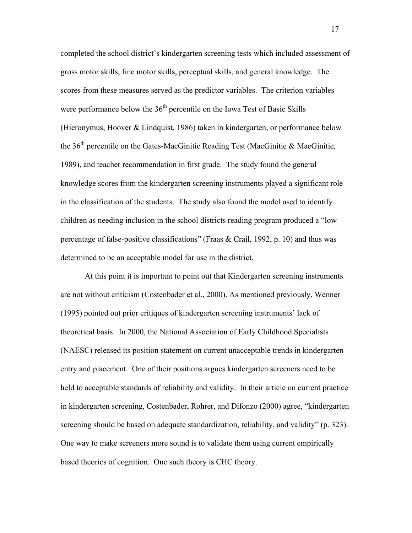completed the school district's kindergarten screening tests which included assessment of gross motor skills, fine motor skills, perceptual skills, and general knowledge. The scores from these measures served as the predictor variables. The criterion variables were performance below the 36<sup>th</sup> percentile on the Iowa Test of Basic Skills (Hieronymus, Hoover & Lindquist, 1986) taken in kindergarten, or performance below the 36<sup>th</sup> percentile on the Gates-MacGinitie Reading Test (MacGinitie & MacGinitie, 1989), and teacher recommendation in first grade. The study found the general knowledge scores from the kindergarten screening instruments played a significant role in the classification of the students. The study also found the model used to identify children as needing inclusion in the school districts reading program produced a "low percentage of false-positive classifications" (Fraas & Crail, 1992, p. 10) and thus was determined to be an acceptable model for use in the district.

 At this point it is important to point out that Kindergarten screening instruments are not without criticism (Costenbader et al., 2000). As mentioned previously, Wenner (1995) pointed out prior critiques of kindergarten screening instruments' lack of theoretical basis. In 2000, the National Association of Early Childhood Specialists (NAESC) released its position statement on current unacceptable trends in kindergarten entry and placement. One of their positions argues kindergarten screeners need to be held to acceptable standards of reliability and validity.In their article on current practice in kindergarten screening, Costenbader, Rohrer, and Difonzo (2000) agree, "kindergarten screening should be based on adequate standardization, reliability, and validity" (p. 323). One way to make screeners more sound is to validate them using current empirically based theories of cognition. One such theory is CHC theory.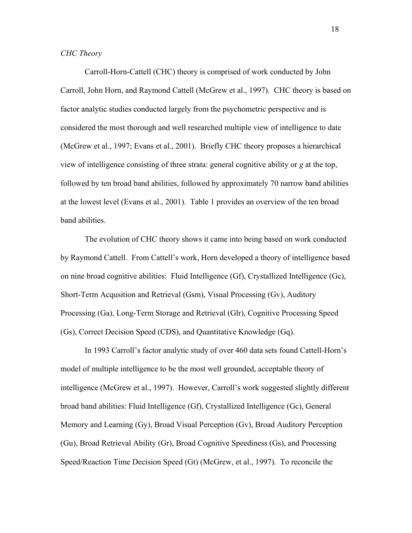Carroll-Horn-Cattell (CHC) theory is comprised of work conducted by John Carroll, John Horn, and Raymond Cattell (McGrew et al., 1997). CHC theory is based on factor analytic studies conducted largely from the psychometric perspective and is considered the most thorough and well researched multiple view of intelligence to date (McGrew et al., 1997; Evans et al., 2001). Briefly CHC theory proposes a hierarchical view of intelligence consisting of three strata: general cognitive ability or *g* at the top, followed by ten broad band abilities, followed by approximately 70 narrow band abilities at the lowest level (Evans et al., 2001). Table 1 provides an overview of the ten broad band abilities.

 The evolution of CHC theory shows it came into being based on work conducted by Raymond Cattell. From Cattell's work, Horn developed a theory of intelligence based on nine broad cognitive abilities: Fluid Intelligence (Gf), Crystallized Intelligence (Gc), Short-Term Acqusition and Retrieval (Gsm), Visual Processing (Gv), Auditory Processing (Ga), Long-Term Storage and Retrieval (Glr), Cognitive Processing Speed (Gs), Correct Decision Speed (CDS), and Quantitative Knowledge (Gq).

 In 1993 Carroll's factor analytic study of over 460 data sets found Cattell-Horn's model of multiple intelligence to be the most well grounded, acceptable theory of intelligence (McGrew et al., 1997). However, Carroll's work suggested slightly different broad band abilities: Fluid Intelligence (Gf), Crystallized Intelligence (Gc), General Memory and Learning (Gy), Broad Visual Perception (Gv), Broad Auditory Perception (Gu), Broad Retrieval Ability (Gr), Broad Cognitive Speediness (Gs), and Processing Speed/Reaction Time Decision Speed (Gt) (McGrew, et al., 1997). To reconcile the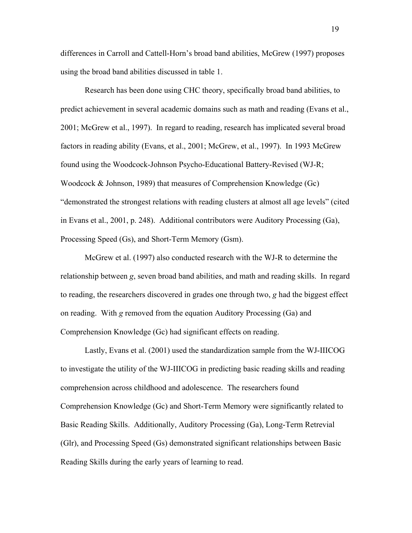differences in Carroll and Cattell-Horn's broad band abilities, McGrew (1997) proposes using the broad band abilities discussed in table 1.

 Research has been done using CHC theory, specifically broad band abilities, to predict achievement in several academic domains such as math and reading (Evans et al., 2001; McGrew et al., 1997). In regard to reading, research has implicated several broad factors in reading ability (Evans, et al., 2001; McGrew, et al., 1997). In 1993 McGrew found using the Woodcock-Johnson Psycho-Educational Battery-Revised (WJ-R; Woodcock & Johnson, 1989) that measures of Comprehension Knowledge (Gc) "demonstrated the strongest relations with reading clusters at almost all age levels" (cited in Evans et al., 2001, p. 248). Additional contributors were Auditory Processing (Ga), Processing Speed (Gs), and Short-Term Memory (Gsm).

 McGrew et al. (1997) also conducted research with the WJ-R to determine the relationship between *g*, seven broad band abilities, and math and reading skills. In regard to reading, the researchers discovered in grades one through two, *g* had the biggest effect on reading. With *g* removed from the equation Auditory Processing (Ga) and Comprehension Knowledge (Gc) had significant effects on reading.

 Lastly, Evans et al. (2001) used the standardization sample from the WJ-IIICOG to investigate the utility of the WJ-IIICOG in predicting basic reading skills and reading comprehension across childhood and adolescence. The researchers found Comprehension Knowledge (Gc) and Short-Term Memory were significantly related to Basic Reading Skills. Additionally, Auditory Processing (Ga), Long-Term Retrevial (Glr), and Processing Speed (Gs) demonstrated significant relationships between Basic Reading Skills during the early years of learning to read.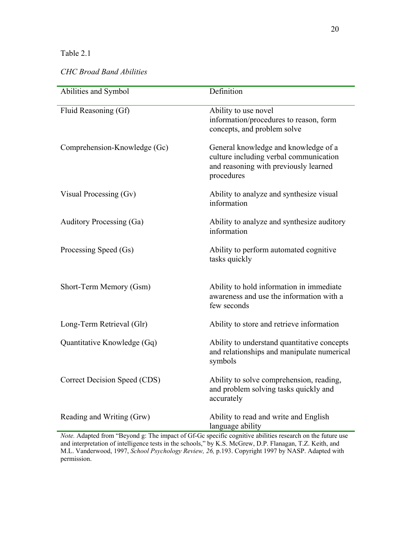# Table 2.1

# *CHC Broad Band Abilities*

| Abilities and Symbol         | Definition                                                                                                                            |
|------------------------------|---------------------------------------------------------------------------------------------------------------------------------------|
| Fluid Reasoning (Gf)         | Ability to use novel<br>information/procedures to reason, form<br>concepts, and problem solve                                         |
| Comprehension-Knowledge (Gc) | General knowledge and knowledge of a<br>culture including verbal communication<br>and reasoning with previously learned<br>procedures |
| Visual Processing (Gv)       | Ability to analyze and synthesize visual<br>information                                                                               |
| Auditory Processing (Ga)     | Ability to analyze and synthesize auditory<br>information                                                                             |
| Processing Speed (Gs)        | Ability to perform automated cognitive<br>tasks quickly                                                                               |
| Short-Term Memory (Gsm)      | Ability to hold information in immediate<br>awareness and use the information with a<br>few seconds                                   |
| Long-Term Retrieval (Glr)    | Ability to store and retrieve information                                                                                             |
| Quantitative Knowledge (Gq)  | Ability to understand quantitative concepts<br>and relationships and manipulate numerical<br>symbols                                  |
| Correct Decision Speed (CDS) | Ability to solve comprehension, reading,<br>and problem solving tasks quickly and<br>accurately                                       |
| Reading and Writing (Grw)    | Ability to read and write and English<br>language ability                                                                             |

*Note.* Adapted from "Beyond g: The impact of Gf-Gc specific cognitive abilities research on the future use and interpretation of intelligence tests in the schools," by K.S. McGrew, D.P. Flanagan, T.Z. Keith, and M.L. Vanderwood, 1997, *School Psychology Review, 26,* p.193. Copyright 1997 by NASP. Adapted with permission.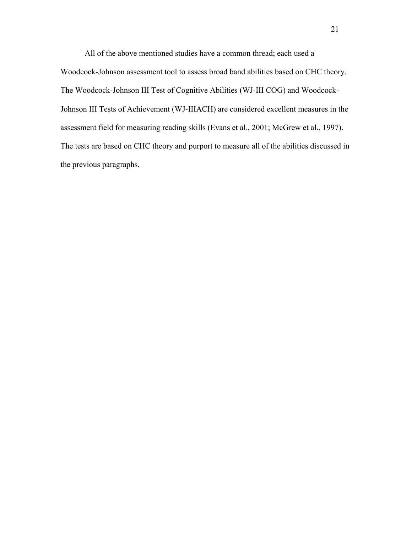All of the above mentioned studies have a common thread; each used a Woodcock-Johnson assessment tool to assess broad band abilities based on CHC theory. The Woodcock-Johnson III Test of Cognitive Abilities (WJ-III COG) and Woodcock-Johnson III Tests of Achievement (WJ-IIIACH) are considered excellent measures in the assessment field for measuring reading skills (Evans et al., 2001; McGrew et al., 1997). The tests are based on CHC theory and purport to measure all of the abilities discussed in the previous paragraphs.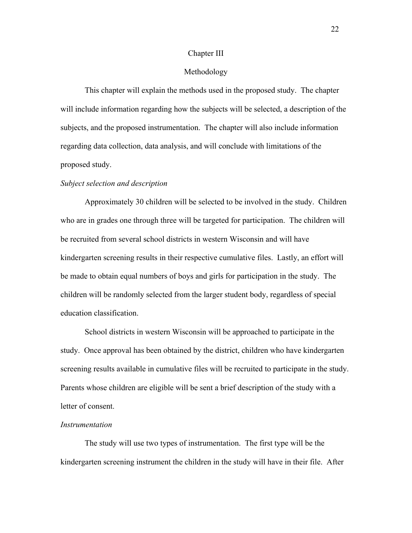### Chapter III

### Methodology

 This chapter will explain the methods used in the proposed study. The chapter will include information regarding how the subjects will be selected, a description of the subjects, and the proposed instrumentation. The chapter will also include information regarding data collection, data analysis, and will conclude with limitations of the proposed study.

#### *Subject selection and description*

 Approximately 30 children will be selected to be involved in the study. Children who are in grades one through three will be targeted for participation. The children will be recruited from several school districts in western Wisconsin and will have kindergarten screening results in their respective cumulative files. Lastly, an effort will be made to obtain equal numbers of boys and girls for participation in the study. The children will be randomly selected from the larger student body, regardless of special education classification.

 School districts in western Wisconsin will be approached to participate in the study. Once approval has been obtained by the district, children who have kindergarten screening results available in cumulative files will be recruited to participate in the study. Parents whose children are eligible will be sent a brief description of the study with a letter of consent.

#### *Instrumentation*

The study will use two types of instrumentation. The first type will be the kindergarten screening instrument the children in the study will have in their file. After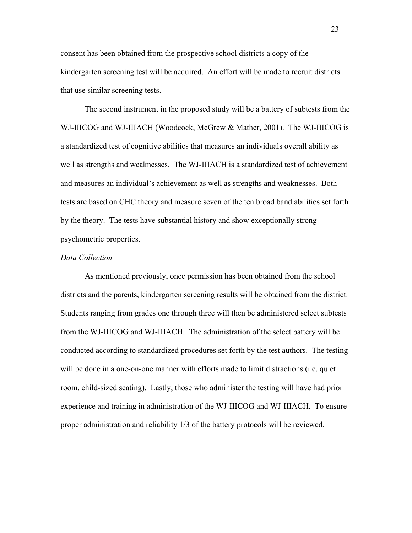consent has been obtained from the prospective school districts a copy of the kindergarten screening test will be acquired. An effort will be made to recruit districts that use similar screening tests.

 The second instrument in the proposed study will be a battery of subtests from the WJ-IIICOG and WJ-IIIACH (Woodcock, McGrew & Mather, 2001). The WJ-IIICOG is a standardized test of cognitive abilities that measures an individuals overall ability as well as strengths and weaknesses. The WJ-IIIACH is a standardized test of achievement and measures an individual's achievement as well as strengths and weaknesses. Both tests are based on CHC theory and measure seven of the ten broad band abilities set forth by the theory. The tests have substantial history and show exceptionally strong psychometric properties.

### *Data Collection*

 As mentioned previously, once permission has been obtained from the school districts and the parents, kindergarten screening results will be obtained from the district. Students ranging from grades one through three will then be administered select subtests from the WJ-IIICOG and WJ-IIIACH. The administration of the select battery will be conducted according to standardized procedures set forth by the test authors. The testing will be done in a one-on-one manner with efforts made to limit distractions (i.e. quiet room, child-sized seating). Lastly, those who administer the testing will have had prior experience and training in administration of the WJ-IIICOG and WJ-IIIACH. To ensure proper administration and reliability 1/3 of the battery protocols will be reviewed.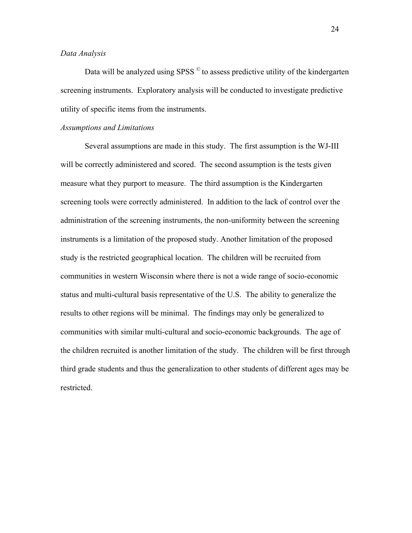### *Data Analysis*

Data will be analyzed using SPSS<sup>°</sup> to assess predictive utility of the kindergarten screening instruments. Exploratory analysis will be conducted to investigate predictive utility of specific items from the instruments.

### *Assumptions and Limitations*

 Several assumptions are made in this study. The first assumption is the WJ-III will be correctly administered and scored. The second assumption is the tests given measure what they purport to measure. The third assumption is the Kindergarten screening tools were correctly administered. In addition to the lack of control over the administration of the screening instruments, the non-uniformity between the screening instruments is a limitation of the proposed study. Another limitation of the proposed study is the restricted geographical location. The children will be recruited from communities in western Wisconsin where there is not a wide range of socio-economic status and multi-cultural basis representative of the U.S. The ability to generalize the results to other regions will be minimal. The findings may only be generalized to communities with similar multi-cultural and socio-economic backgrounds. The age of the children recruited is another limitation of the study. The children will be first through third grade students and thus the generalization to other students of different ages may be restricted.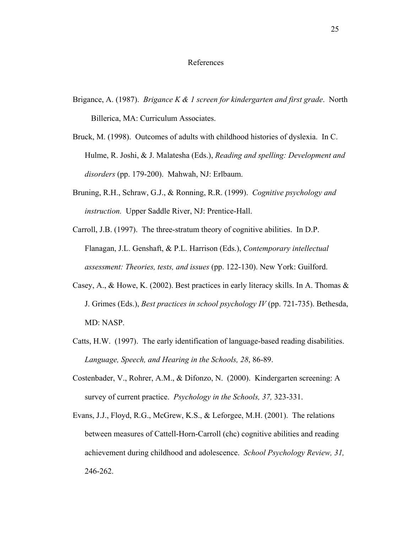### References

- Brigance, A. (1987). *Brigance K & 1 screen for kindergarten and first grade*. North Billerica, MA: Curriculum Associates.
- Bruck, M. (1998). Outcomes of adults with childhood histories of dyslexia. In C. Hulme, R. Joshi, & J. Malatesha (Eds.), *Reading and spelling: Development and disorders* (pp. 179-200). Mahwah, NJ: Erlbaum.
- Bruning, R.H., Schraw, G.J., & Ronning, R.R. (1999). *Cognitive psychology and instruction.* Upper Saddle River, NJ: Prentice-Hall.
- Carroll, J.B. (1997). The three-stratum theory of cognitive abilities. In D.P. Flanagan, J.L. Genshaft, & P.L. Harrison (Eds.), *Contemporary intellectual assessment: Theories, tests, and issues* (pp. 122-130). New York: Guilford.
- Casey, A., & Howe, K. (2002). Best practices in early literacy skills. In A. Thomas & J. Grimes (Eds.), *Best practices in school psychology IV* (pp. 721-735). Bethesda, MD: NASP.
- Catts, H.W. (1997). The early identification of language-based reading disabilities. *Language, Speech, and Hearing in the Schools, 28*, 86-89.
- Costenbader, V., Rohrer, A.M., & Difonzo, N. (2000). Kindergarten screening: A survey of current practice. *Psychology in the Schools, 37,* 323-331.
- Evans, J.J., Floyd, R.G., McGrew, K.S., & Leforgee, M.H. (2001). The relations between measures of Cattell-Horn-Carroll (chc) cognitive abilities and reading achievement during childhood and adolescence. *School Psychology Review, 31,*  246-262.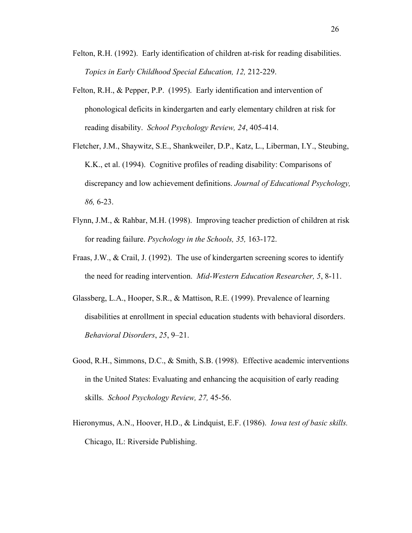- Felton, R.H. (1992). Early identification of children at-risk for reading disabilities. *Topics in Early Childhood Special Education, 12,* 212-229.
- Felton, R.H., & Pepper, P.P. (1995). Early identification and intervention of phonological deficits in kindergarten and early elementary children at risk for reading disability. *School Psychology Review, 24*, 405-414.
- Fletcher, J.M., Shaywitz, S.E., Shankweiler, D.P., Katz, L., Liberman, I.Y., Steubing, K.K., et al. (1994). Cognitive profiles of reading disability: Comparisons of discrepancy and low achievement definitions. *Journal of Educational Psychology, 86,* 6-23.
- Flynn, J.M., & Rahbar, M.H. (1998). Improving teacher prediction of children at risk for reading failure. *Psychology in the Schools, 35,* 163-172.
- Fraas, J.W., & Crail, J. (1992). The use of kindergarten screening scores to identify the need for reading intervention. *Mid-Western Education Researcher, 5*, 8-11.
- Glassberg, L.A., Hooper, S.R., & Mattison, R.E. (1999). Prevalence of learning disabilities at enrollment in special education students with behavioral disorders. *Behavioral Disorders*, *25*, 9–21.
- Good, R.H., Simmons, D.C., & Smith, S.B. (1998). Effective academic interventions in the United States: Evaluating and enhancing the acquisition of early reading skills. *School Psychology Review, 27,* 45-56.
- Hieronymus, A.N., Hoover, H.D., & Lindquist, E.F. (1986). *Iowa test of basic skills.*  Chicago, IL: Riverside Publishing.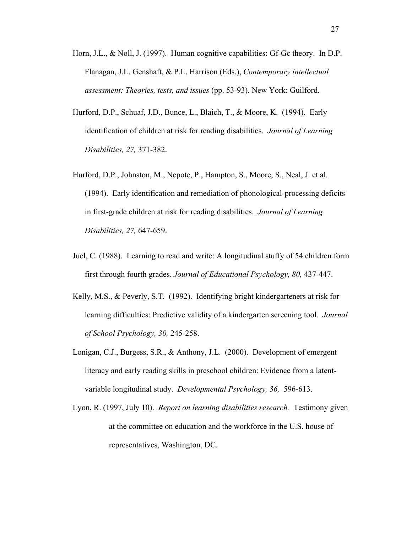- Horn, J.L., & Noll, J. (1997). Human cognitive capabilities: Gf-Gc theory. In D.P. Flanagan, J.L. Genshaft, & P.L. Harrison (Eds.), *Contemporary intellectual assessment: Theories, tests, and issues* (pp. 53-93). New York: Guilford.
- Hurford, D.P., Schuaf, J.D., Bunce, L., Blaich, T., & Moore, K. (1994). Early identification of children at risk for reading disabilities. *Journal of Learning Disabilities, 27,* 371-382.
- Hurford, D.P., Johnston, M., Nepote, P., Hampton, S., Moore, S., Neal, J. et al. (1994). Early identification and remediation of phonological-processing deficits in first-grade children at risk for reading disabilities. *Journal of Learning Disabilities, 27,* 647-659.
- Juel, C. (1988). Learning to read and write: A longitudinal stuffy of 54 children form first through fourth grades. *Journal of Educational Psychology, 80,* 437-447.
- Kelly, M.S., & Peverly, S.T. (1992). Identifying bright kindergarteners at risk for learning difficulties: Predictive validity of a kindergarten screening tool. *Journal of School Psychology, 30,* 245-258.
- Lonigan, C.J., Burgess, S.R., & Anthony, J.L. (2000). Development of emergent literacy and early reading skills in preschool children: Evidence from a latentvariable longitudinal study. *Developmental Psychology, 36,* 596-613.
- Lyon, R. (1997, July 10). *Report on learning disabilities research.* Testimony given at the committee on education and the workforce in the U.S. house of representatives, Washington, DC.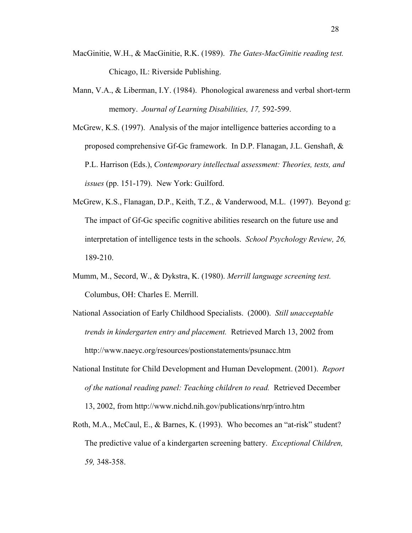- MacGinitie, W.H., & MacGinitie, R.K. (1989). *The Gates-MacGinitie reading test.*  Chicago, IL: Riverside Publishing.
- Mann, V.A., & Liberman, I.Y. (1984). Phonological awareness and verbal short-term memory. *Journal of Learning Disabilities, 17,* 592-599.

McGrew, K.S. (1997). Analysis of the major intelligence batteries according to a proposed comprehensive Gf-Gc framework. In D.P. Flanagan, J.L. Genshaft, & P.L. Harrison (Eds.), *Contemporary intellectual assessment: Theories, tests, and issues* (pp. 151-179). New York: Guilford.

- McGrew, K.S., Flanagan, D.P., Keith, T.Z., & Vanderwood, M.L. (1997). Beyond g: The impact of Gf-Gc specific cognitive abilities research on the future use and interpretation of intelligence tests in the schools. *School Psychology Review, 26,*  189-210.
- Mumm, M., Secord, W., & Dykstra, K. (1980). *Merrill language screening test.*  Columbus, OH: Charles E. Merrill.
- National Association of Early Childhood Specialists. (2000). *Still unacceptable trends in kindergarten entry and placement.* Retrieved March 13, 2002 from http://www.naeyc.org/resources/postionstatements/psunacc.htm
- National Institute for Child Development and Human Development. (2001). *Report of the national reading panel: Teaching children to read.* Retrieved December 13, 2002, from http://www.nichd.nih.gov/publications/nrp/intro.htm
- Roth, M.A., McCaul, E., & Barnes, K. (1993). Who becomes an "at-risk" student? The predictive value of a kindergarten screening battery. *Exceptional Children, 59,* 348-358.